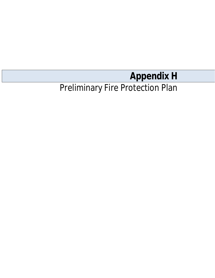# **Appendix H**

## Preliminary Fire Protection Plan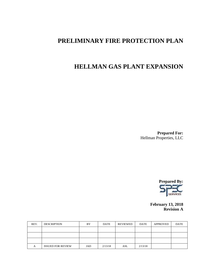## **PRELIMINARY FIRE PROTECTION PLAN**

## **HELLMAN GAS PLANT EXPANSION**

**Prepared For:** Hellman Properties, LLC



**February 13, 2018 Revision A**

| REV. | <b>DESCRIPTION</b>       | BY  | <b>DATE</b> | REVIEWED | <b>DATE</b> | <b>APPROVED</b> | <b>DATE</b> |
|------|--------------------------|-----|-------------|----------|-------------|-----------------|-------------|
|      |                          |     |             |          |             |                 |             |
|      |                          |     |             |          |             |                 |             |
|      |                          |     |             |          |             |                 |             |
| А    | <b>ISSUED FOR REVIEW</b> | JAD | 2/13/18     | ASL      | 2/13/18     |                 |             |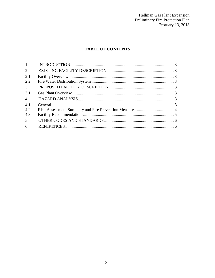Hellman Gas Plant Expansion<br>Preliminary Fire Protection Plan<br>February 13, 2018

#### **TABLE OF CONTENTS**

| $1 -$          |  |
|----------------|--|
| $\overline{2}$ |  |
| 2.1            |  |
| 2.2            |  |
| 3 <sup>7</sup> |  |
| 3.1            |  |
| $\overline{4}$ |  |
| 4.1            |  |
| 4.2            |  |
| 4.3            |  |
| 5 <sup>5</sup> |  |
| 6 <sup>6</sup> |  |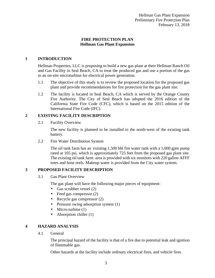#### **FIRE PROTECTION PLAN Hellman Gas Plant Expansion**

#### **1 INTRODUCTION**

Hellman Properties, LLC is proposing to build a new gas plant at their Hellman Ranch Oil and Gas Facility in Seal Beach, CA to treat the produced gas and use a portion of the gas in an on-site microturbine for electrical power generation.

- 1.1 The objective of this study is to review the proposed location for the proposed gas plant and provide recommendations for fire protection for the gas plant site.
- 1.2 The facility is located in Seal Beach, CA which is served by the Orange County Fire Authority. The City of Seal Beach has adopted the 2016 edition of the California State Fire Code (CFC), which is based on the 2015 edition of the International Fire Code (IFC).

#### **2 EXISTING FACILITY DESCRIPTION**

2.1 Facility Overview

The new facility is planned to be installed to the north-west of the existing tank battery.

2.2 Fire Water Distribution System

The oil tank farm has an existing 1,500 bbl fire water tank with a 1,000 gpm pump rated at 105 psi, which is approximately 725 feet from the proposed gas plant site. The existing oil tank farm area is provided with six monitors with 220 gallon AFFF totes and hose reels. Makeup water is provided from the City water system.

#### **3 PROPOSED FACILITY DESCRIPTION**

3.1 Gas Plant Overview

The gas plant will have the following major pieces of equipment:

- а, Gas scrubber vessel (2)
- Feed gas compressor (2)  $\mathbf{r}$
- Recycle gas compressor (2)  $\mathcal{L}^{\text{max}}$
- Pressure swing adsorption system (1)  $\mathbf{r}$
- $\mathbf{r}$ Micro-turbine (1)
- Absorption chiller (1)

#### **4 HAZARD ANALYSIS**

4.1 General

The principal hazard of the facility is that of a fire due to potential leak and ignition of flammable gas.

Other hazards at the facility include ordinary electrical fires, and vehicle fires.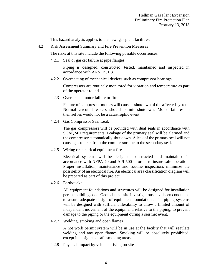This hazard analysis applies to the new gas plant facilities.

4.2 Risk Assessment Summary and Fire Prevention Measures

The risks at this site include the following possible occurrences:

4.2.1 Seal or gasket failure at pipe flanges

Piping is designed, constructed, tested, maintained and inspected in accordance with ANSI B31.3.

4.2.2 Overheating of mechanical devices such as compressor bearings

Compressors are routinely monitored for vibration and temperature as part of the operator rounds.

4.2.3 Overheated motor failure or fire

Failure of compressor motors will cause a shutdown of the affected system. Normal circuit breakers should permit shutdown. Motor failures in themselves would not be a catastrophic event.

4.2.4 Gas Compressor Seal Leak

The gas compressors will be provided with dual seals in accordance with SCAQMD requirements. Leakage of the primary seal will be alarmed and the compressor automatically shut down. A leak of the primary seal will not cause gas to leak from the compressor due to the secondary seal.

4.2.5 Wiring or electrical equipment fire

Electrical systems will be designed, constructed and maintained in accordance with NFPA-70 and API-500 in order to insure safe operation. Proper installation, maintenance and routine inspections minimize the possibility of an electrical fire. An electrical area classification diagram will be prepared as part of this project.

4.2.6 Earthquake

All equipment foundations and structures will be designed for installation per the building code. Geotechnical site investigations have been conducted to assure adequate design of equipment foundations. The piping systems will be designed with sufficient flexibility to allow a limited amount of independent movement of the equipment, relative to the piping, to prevent damage to the piping or the equipment during a seismic event.

4.2.7 Welding, smoking and open flames

A hot work permit system will be in use at the facility that will regulate welding and any open flames. Smoking will be absolutely prohibited, except in designated safe smoking areas.

4.2.8 Physical impact by vehicle driving on site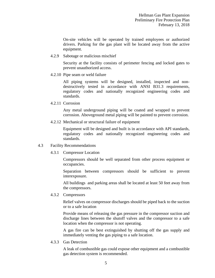On-site vehicles will be operated by trained employees or authorized drivers. Parking for the gas plant will be located away from the active equipment.

4.2.9 Sabotage or malicious mischief

Security at the facility consists of perimeter fencing and locked gates to prevent unauthorized access.

4.2.10 Pipe seam or weld failure

All piping systems will be designed, installed, inspected and nondestructively tested in accordance with ANSI B31.3 requirements, regulatory codes and nationally recognized engineering codes and standards.

4.2.11 Corrosion

Any metal underground piping will be coated and wrapped to prevent corrosion. Aboveground metal piping will be painted to prevent corrosion.

4.2.12 Mechanical or structural failure of equipment

Equipment will be designed and built is in accordance with API standards, regulatory codes and nationally recognized engineering codes and standards.

#### 4.3 Facility Recommendations

4.3.1 Compressor Location

Compressors should be well separated from other process equipment or occupancies.

Separation between compressors should be sufficient to prevent interexposure.

All buildings and parking areas shall be located at least 50 feet away from the compressors.

4.3.2 Compressors

Relief valves on compressor discharges should be piped back to the suction or to a safe location

Provide means of releasing the gas pressure in the compressor suction and discharge lines between the shutoff valves and the compressor to a safe location when the compressor is not operating.

A gas fire can be best extinguished by shutting off the gas supply and immediately venting the gas piping to a safe location.

4.3.3 Gas Detection

A leak of combustible gas could expose other equipment and a combustible gas detection system is recommended.